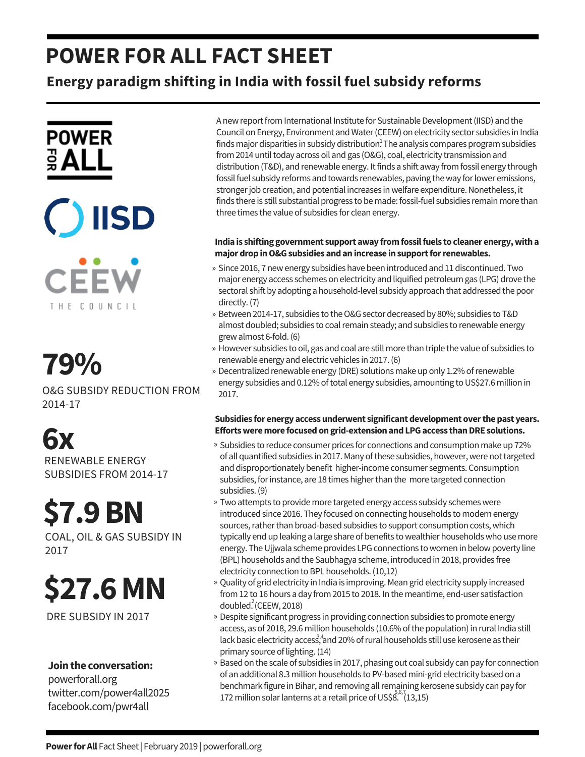## **POWER FOR ALL FACT SHEET**

**Energy paradigm shifting in India with fossil fuel subsidy reforms**





**CEEW** THE COUNCIL

## **79%** »

O&G SUBSIDY REDUCTION FROM 2014-17

## **6x**

RENEWABLE ENERGY SUBSIDIES FROM 2014-17

# **\$7.9BN**

COAL, OIL & GAS SUBSIDY IN 2017

# **\$27.6MN**

DRE SUBSIDY IN 2017

### **Jointhe conversation:**

powerforall.org twitter.com/power4all2025 facebook.com/pwr4all

A new report from International Institute for Sustainable Development (IISD) and the Council on Energy, Environment andWater(CEEW) on electricity sector subsidies in India finds major disparities in subsidy distribution<sup>1</sup>. The analysis compares program subsidies from 2014 until today across oil and gas (O&G), coal, electricity transmission and distribution (T&D), and renewable energy. It finds a shift away from fossil energy through fossil fuel subsidy reforms and towards renewables, paving the way for lower emissions, stronger job creation, and potential increases in welfare expenditure. Nonetheless, it finds there is still substantial progress to be made: fossil-fuel subsidies remain more than three times the value of subsidies for clean energy.

### **India is shifting government support away fromfossilfuels to cleaner energy,witha majordropinO&Gsubsidies andanincrease insupportforrenewables.**

- » Since 2016, 7 new energy subsidies have been introduced and 11 discontinued. Two major energy access schemes on electricity and liquified petroleum gas (LPG) drove the sectoral shift by adopting a household-level subsidy approach that addressed the poor directly.(7)
- » Between 2014-17, subsidies to the O&G sector decreased by 80%; subsidies to T&D almost doubled; subsidies to coal remain steady; and subsidies to renewable energy grewalmost 6-fold.(6)
- However subsidies to oil, gas and coal are still more than triple the value of subsidies to » renewable energy and electric vehicles in 2017.(6)
- » Decentralized renewable energy (DRE) solutions make up only 1.2% of renewable energy subsidies and 0.12% of total energy subsidies, amounting to US\$27.6 million in 2017.

### **Subsidies for energy accessunderwent significantdevelopment overthepast years. Effortsweremore focusedongrid-extensionandLPGaccess thanDRE solutions.**

- » Subsidies to reduce consumer prices for connections and consumption make up 72% of all quantified subsidies in 2017. Many of these subsidies, however, were not targeted and disproportionately benefit higher-income consumer segments. Consumption subsidies, for instance, are 18 times higher than the more targeted connection subsidies.(9)
- » Two attempts to provide more targeted energy access subsidy schemes were introduced since 2016. They focused on connecting households to modern energy sources, rather than broad-based subsidies to support consumption costs, which typically end up leaking a large share of benefits to wealthier households who use more energy. The Ujjwala scheme provides LPG connections to women in below poverty line (BPL) households and the Saubhagya scheme, introduced in 2018, provides free electricity connection to BPL households. (10,12)
- » Quality of grid electricity in India is improving. Mean grid electricity supply increased from 12 to 16 hours a day from 2015 to 2018. In the meantime, end-user satisfaction doubled.  $(CEEW, 2018)$
- Despite significant progress in providing connection subsidies to promote energy » access, as of 2018, 29.6 million households (10.6% of the population) in rural India still lack basic electricity access, and 20% of rural households still use kerosene as their primary source of lighting. (14)
- » Based on the scale of subsidies in 2017, phasing out coal subsidy can pay for connection of an additional 8.3 million households to PV-based mini-grid electricity based on a benchmark figure in Bihar, and removing all remaining kerosene subsidy can pay for 172 million solar lanterns at a retail price of US\$8.  $(13,15)$